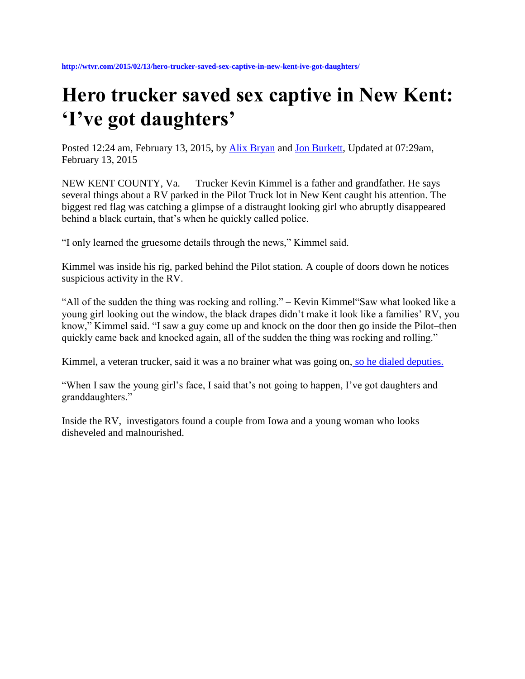## **Hero trucker saved sex captive in New Kent: 'I've got daughters'**

Posted 12:24 am, February 13, 2015, by [Alix Bryan](http://wtvr.com/author/alixbryanwtvr/) and [Jon Burkett,](http://wtvr.com/author/wtvrjonburkett/) Updated at 07:29am, February 13, 2015

NEW KENT COUNTY, Va. — Trucker Kevin Kimmel is a father and grandfather. He says several things about a RV parked in the Pilot Truck lot in New Kent caught his attention. The biggest red flag was catching a glimpse of a distraught looking girl who abruptly disappeared behind a black curtain, that's when he quickly called police.

"I only learned the gruesome details through the news," Kimmel said.

Kimmel was inside his rig, parked behind the Pilot station. A couple of doors down he notices suspicious activity in the RV.

"All of the sudden the thing was rocking and rolling." – Kevin Kimmel"Saw what looked like a young girl looking out the window, the black drapes didn't make it look like a families' RV, you know," Kimmel said. "I saw a guy come up and knock on the door then go inside the Pilot–then quickly came back and knocked again, all of the sudden the thing was rocking and rolling."

Kimmel, a veteran trucker, said it was a no brainer what was going on, [so he dialed deputies.](http://wtvr.com/2015/01/08/iowa-couple-held-after-kidnapping-arrest-at-new-kent-truck-stop/)

"When I saw the young girl's face, I said that's not going to happen, I've got daughters and granddaughters."

Inside the RV, investigators found a couple from Iowa and a young woman who looks disheveled and malnourished.